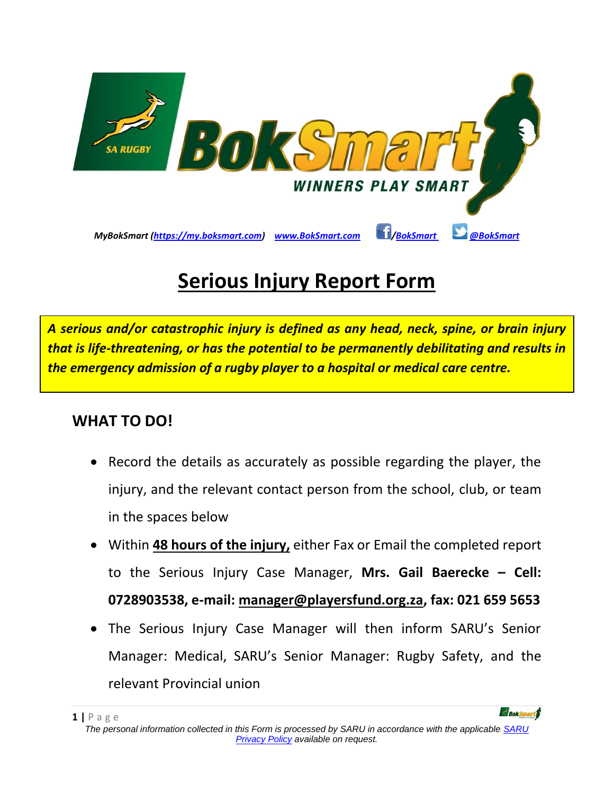

# **Serious Injury Report Form**

*A serious and/or catastrophic injury is defined as any head, neck, spine, or brain injury that is life-threatening, or has the potential to be permanently debilitating and results in the emergency admission of a rugby player to a hospital or medical care centre.*

#### **WHAT TO DO!**

- Record the details as accurately as possible regarding the player, the injury, and the relevant contact person from the school, club, or team in the spaces below
- Within **48 hours of the injury,** either Fax or Email the completed report to the Serious Injury Case Manager, **Mrs. Gail Baerecke – Cell: 0728903538, e-mail: [manager@playersfund.org.za,](mailto:manager@playersfund.org.za) fax: 021 659 5653**
- The Serious Injury Case Manager will then inform SARU's Senior Manager: Medical, SARU's Senior Manager: Rugby Safety, and the relevant Provincial union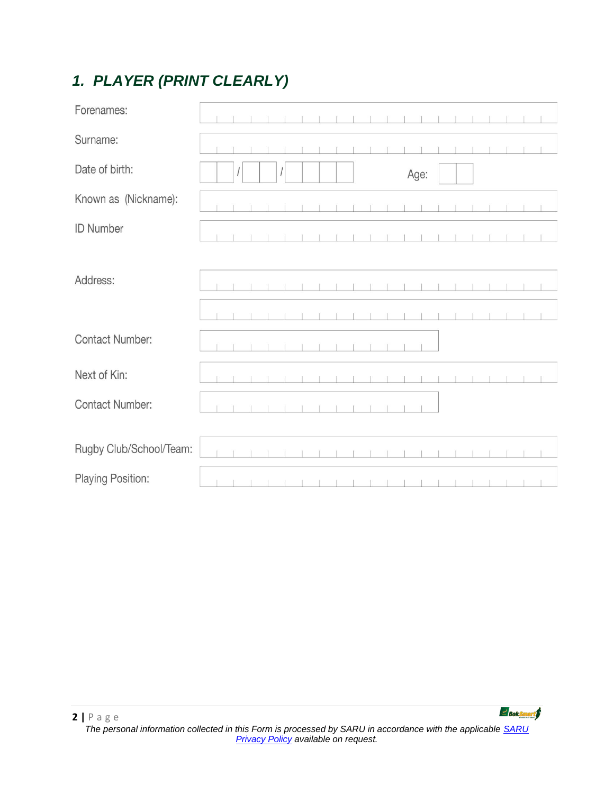# *1. PLAYER (PRINT CLEARLY)*

| Forenames:              |  |  |   |  |  |  |      |  |  |  |  |
|-------------------------|--|--|---|--|--|--|------|--|--|--|--|
| Surname:                |  |  |   |  |  |  |      |  |  |  |  |
| Date of birth:          |  |  | 1 |  |  |  | Age: |  |  |  |  |
| Known as (Nickname):    |  |  |   |  |  |  |      |  |  |  |  |
| <b>ID Number</b>        |  |  |   |  |  |  |      |  |  |  |  |
| Address:                |  |  |   |  |  |  |      |  |  |  |  |
|                         |  |  |   |  |  |  |      |  |  |  |  |
|                         |  |  |   |  |  |  |      |  |  |  |  |
| <b>Contact Number:</b>  |  |  |   |  |  |  |      |  |  |  |  |
| Next of Kin:            |  |  |   |  |  |  |      |  |  |  |  |
| <b>Contact Number:</b>  |  |  |   |  |  |  |      |  |  |  |  |
|                         |  |  |   |  |  |  |      |  |  |  |  |
| Rugby Club/School/Team: |  |  |   |  |  |  |      |  |  |  |  |
| Playing Position:       |  |  |   |  |  |  |      |  |  |  |  |

Bok**Smart**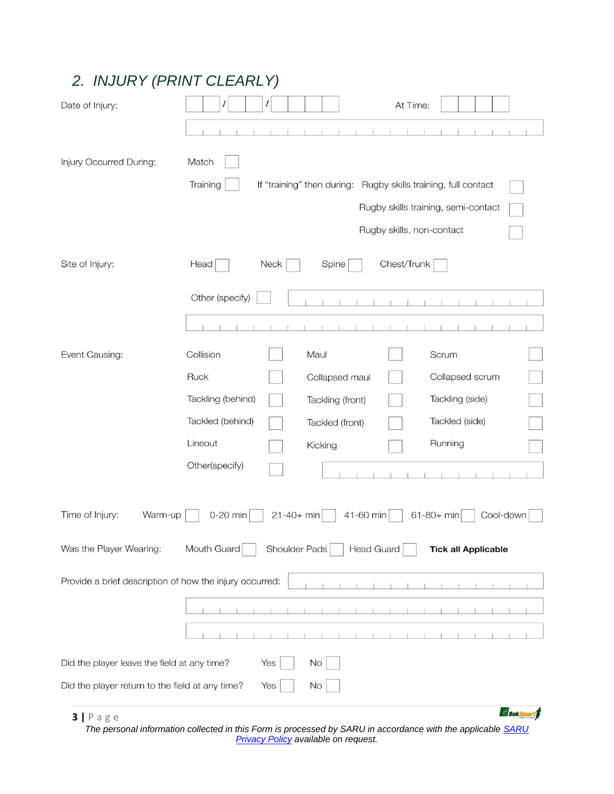# *2. INJURY (PRINT CLEARLY)*

| Date of Injury:                                         | $\prime$<br>At Time:<br>$\prime$                                                    |
|---------------------------------------------------------|-------------------------------------------------------------------------------------|
|                                                         |                                                                                     |
| Injury Occurred During:                                 | Match<br>Training<br>If "training" then during: Rugby skills training, full contact |
|                                                         | Rugby skills training, semi-contact                                                 |
|                                                         | Rugby skills, non-contact                                                           |
| Site of Injury:                                         | Chest/Trunk<br>Head<br>Neck<br>Spine                                                |
|                                                         | Other (specify)                                                                     |
|                                                         |                                                                                     |
| Event Causing:                                          | Collision<br>Maul<br>Scrum                                                          |
|                                                         | Ruck<br>Collapsed scrum<br>Collapsed maul                                           |
|                                                         | Tackling (behind)<br>Tackling (side)<br>Tackling (front)                            |
|                                                         | Tackled (behind)<br>Tackled (side)<br>Tackled (front)                               |
|                                                         | Lineout<br>Running<br>Kicking                                                       |
|                                                         | Other(specify)                                                                      |
| Time of Injury:<br>Warm-up                              | $21 - 40 + min$<br>61-80+ min<br>Cool-down<br>0-20 min<br>41-60 min                 |
| Was the Player Wearing:                                 | Mouth Guard<br>Shoulder Pads<br><b>Head Guard</b><br><b>Tick all Applicable</b>     |
| Provide a brief description of how the injury occurred: |                                                                                     |
|                                                         |                                                                                     |
|                                                         |                                                                                     |
| Did the player leave the field at any time?             | No<br>Yes                                                                           |
| Did the player return to the field at any time?         | No<br>Yes                                                                           |
| $3   P \nexists g e$                                    | $\geq$ Bok Small                                                                    |

*The personal information collected in this Form is processed by SARU in accordance with the applicable [SARU](https://www.springboks.rugby/general/privacy-policy-updated-2021/)  [Privacy Policy](https://www.springboks.rugby/general/privacy-policy-updated-2021/) available on request.*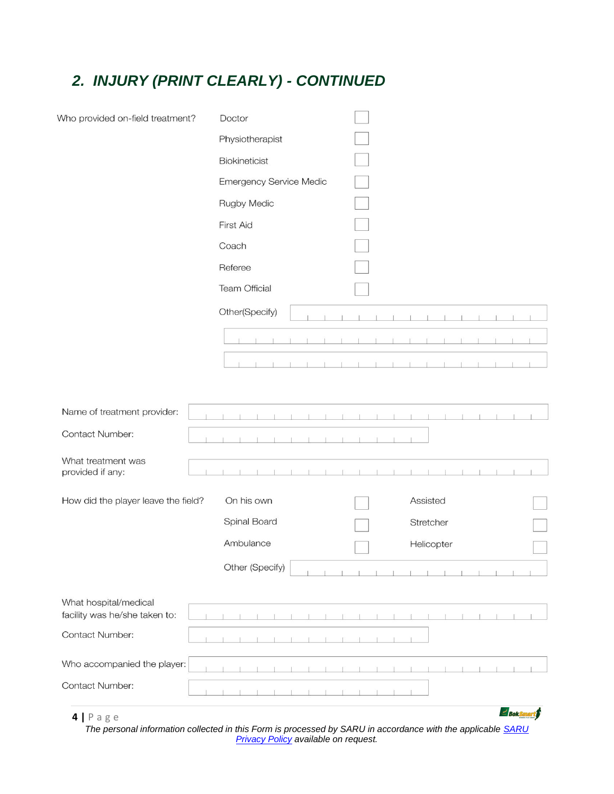### *2. INJURY (PRINT CLEARLY) - CONTINUED*

| Who provided on-field treatment?                       | Doctor                         |               |
|--------------------------------------------------------|--------------------------------|---------------|
|                                                        | Physiotherapist                |               |
|                                                        | Biokineticist                  |               |
|                                                        | <b>Emergency Service Medic</b> |               |
|                                                        | <b>Rugby Medic</b>             |               |
|                                                        | First Aid                      |               |
|                                                        | Coach                          |               |
|                                                        | Referee                        |               |
|                                                        | <b>Team Official</b>           |               |
|                                                        | Other(Specify)                 |               |
|                                                        |                                |               |
|                                                        |                                |               |
|                                                        |                                |               |
|                                                        |                                |               |
| Name of treatment provider:                            |                                |               |
| <b>Contact Number:</b>                                 |                                |               |
| What treatment was                                     |                                |               |
| provided if any:                                       |                                |               |
| How did the player leave the field?                    | On his own                     | Assisted      |
|                                                        | Spinal Board                   | Stretcher     |
|                                                        | Ambulance                      | Helicopter    |
|                                                        | Other (Specify)                |               |
|                                                        |                                |               |
| What hospital/medical<br>facility was he/she taken to: |                                |               |
| <b>Contact Number:</b>                                 |                                |               |
|                                                        |                                |               |
| Who accompanied the player:                            |                                |               |
| Contact Number:                                        |                                |               |
| $4$   Page                                             |                                | $\geq$ Boksma |

**4 |** P a g e

*The personal information collected in this Form is processed by SARU in accordance with the applicable [SARU](https://www.springboks.rugby/general/privacy-policy-updated-2021/)  [Privacy Policy](https://www.springboks.rugby/general/privacy-policy-updated-2021/) available on request.*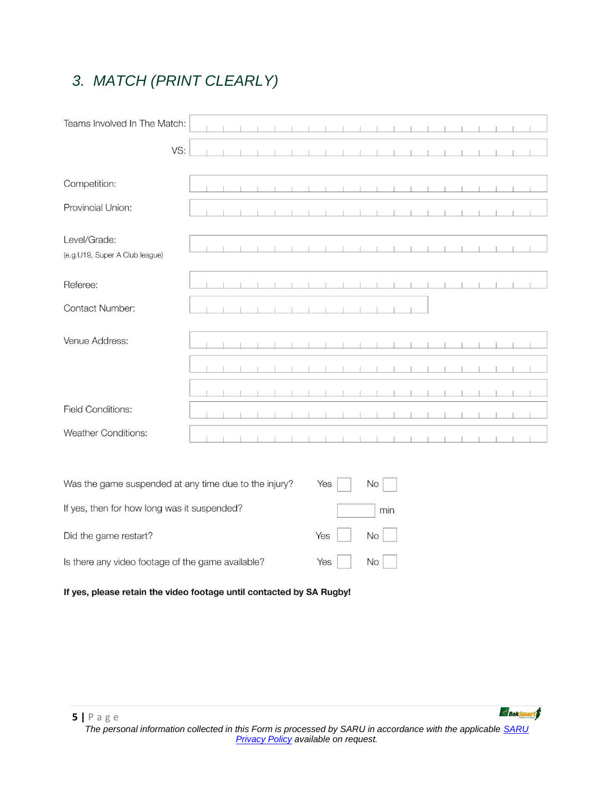# *3. MATCH (PRINT CLEARLY)*

| Teams Involved In The Match:                   |     |  |  |  |  |  |  |  |  |  |  |
|------------------------------------------------|-----|--|--|--|--|--|--|--|--|--|--|
|                                                | VS: |  |  |  |  |  |  |  |  |  |  |
| Competition:                                   |     |  |  |  |  |  |  |  |  |  |  |
| Provincial Union:                              |     |  |  |  |  |  |  |  |  |  |  |
| Level/Grade:<br>(e.g.U19, Super A Club league) |     |  |  |  |  |  |  |  |  |  |  |
| Referee:                                       |     |  |  |  |  |  |  |  |  |  |  |
| <b>Contact Number:</b>                         |     |  |  |  |  |  |  |  |  |  |  |
| Venue Address:                                 |     |  |  |  |  |  |  |  |  |  |  |
|                                                |     |  |  |  |  |  |  |  |  |  |  |
|                                                |     |  |  |  |  |  |  |  |  |  |  |
| <b>Field Conditions:</b>                       |     |  |  |  |  |  |  |  |  |  |  |
| <b>Weather Conditions:</b>                     |     |  |  |  |  |  |  |  |  |  |  |
|                                                |     |  |  |  |  |  |  |  |  |  |  |

 $\overline{ }$ 

 $\overline{a}$ 

| Was the game suspended at any time due to the injury? | Yes I      | No I |
|-------------------------------------------------------|------------|------|
| If yes, then for how long was it suspended?           |            | min  |
| Did the game restart?                                 | $Yes$ $No$ |      |
| Is there any video footage of the game available?     | Yes        | $No$ |

#### If yes, please retain the video footage until contacted by SA Rugby!